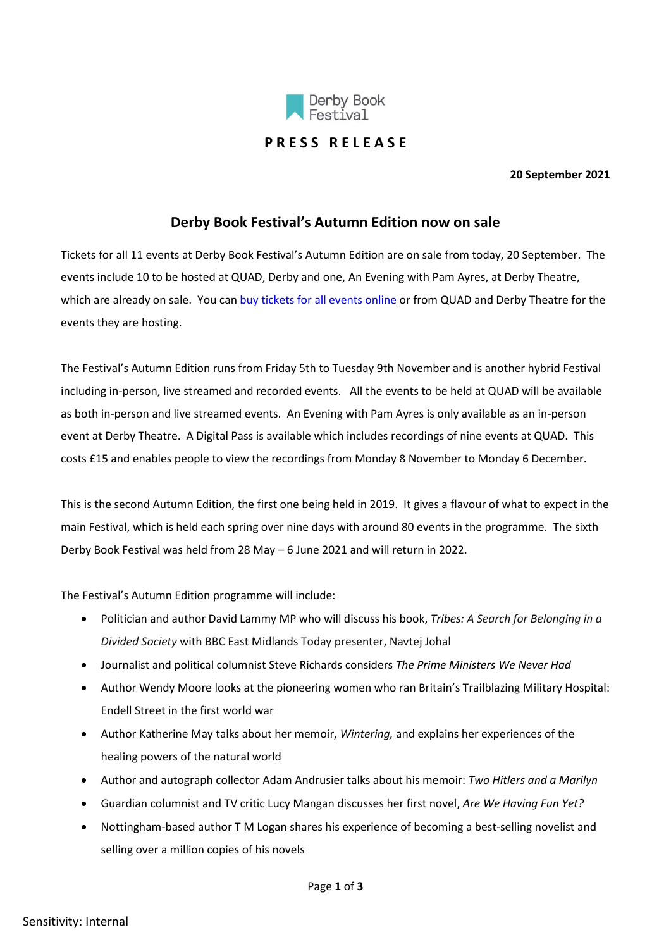

## **P R E S S R E L E A S E**

**20 September 2021**

## **Derby Book Festival's Autumn Edition now on sale**

Tickets for all 11 events at Derby Book Festival's Autumn Edition are on sale from today, 20 September. The events include 10 to be hosted at QUAD, Derby and one, An Evening with Pam Ayres, at Derby Theatre, which are already on sale. You can [buy tickets for all events online](https://www.derbybookfestival.co.uk/whats-on/events/) or from QUAD and Derby Theatre for the events they are hosting.

The Festival's Autumn Edition runs from Friday 5th to Tuesday 9th November and is another hybrid Festival including in-person, live streamed and recorded events. All the events to be held at QUAD will be available as both in-person and live streamed events. An Evening with Pam Ayres is only available as an in-person event at Derby Theatre. A Digital Pass is available which includes recordings of nine events at QUAD. This costs £15 and enables people to view the recordings from Monday 8 November to Monday 6 December.

This is the second Autumn Edition, the first one being held in 2019. It gives a flavour of what to expect in the main Festival, which is held each spring over nine days with around 80 events in the programme. The sixth Derby Book Festival was held from 28 May – 6 June 2021 and will return in 2022.

The Festival's Autumn Edition programme will include:

- Politician and author David Lammy MP who will discuss his book, *Tribes: A Search for Belonging in a Divided Society* with BBC East Midlands Today presenter, Navtej Johal
- Journalist and political columnist Steve Richards considers *The Prime Ministers We Never Had*
- Author Wendy Moore looks at the pioneering women who ran Britain's Trailblazing Military Hospital: Endell Street in the first world war
- Author Katherine May talks about her memoir, *Wintering,* and explains her experiences of the healing powers of the natural world
- Author and autograph collector Adam Andrusier talks about his memoir: *Two Hitlers and a Marilyn*
- Guardian columnist and TV critic Lucy Mangan discusses her first novel, *Are We Having Fun Yet?*
- Nottingham-based author T M Logan shares his experience of becoming a best-selling novelist and selling over a million copies of his novels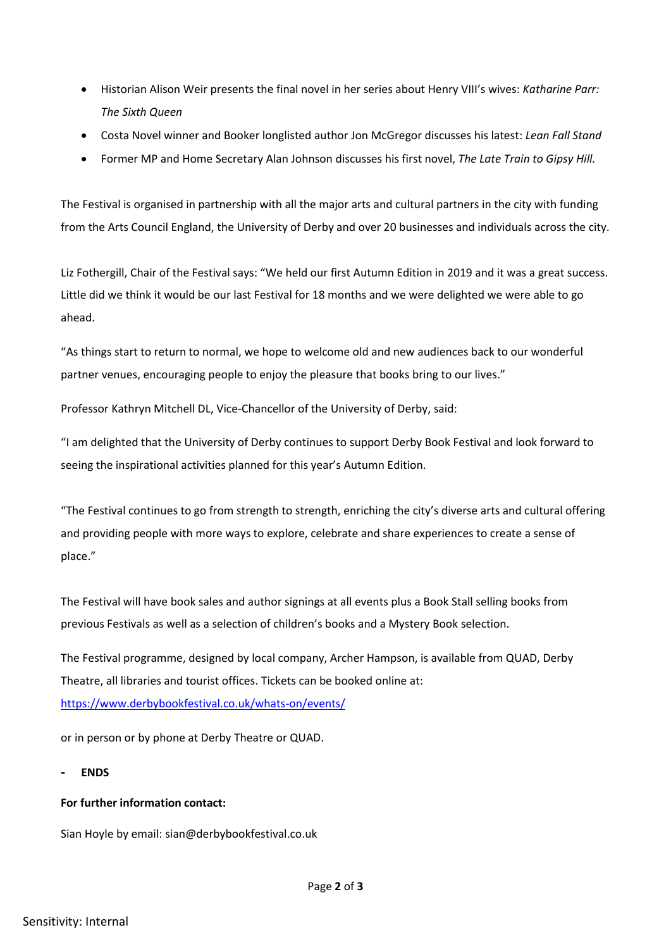- Historian Alison Weir presents the final novel in her series about Henry VIII's wives: *Katharine Parr: The Sixth Queen*
- Costa Novel winner and Booker longlisted author Jon McGregor discusses his latest: *Lean Fall Stand*
- Former MP and Home Secretary Alan Johnson discusses his first novel, *The Late Train to Gipsy Hill.*

The Festival is organised in partnership with all the major arts and cultural partners in the city with funding from the Arts Council England, the University of Derby and over 20 businesses and individuals across the city.

Liz Fothergill, Chair of the Festival says: "We held our first Autumn Edition in 2019 and it was a great success. Little did we think it would be our last Festival for 18 months and we were delighted we were able to go ahead.

"As things start to return to normal, we hope to welcome old and new audiences back to our wonderful partner venues, encouraging people to enjoy the pleasure that books bring to our lives."

Professor Kathryn Mitchell DL, Vice-Chancellor of the University of Derby, said:

"I am delighted that the University of Derby continues to support Derby Book Festival and look forward to seeing the inspirational activities planned for this year's Autumn Edition.

"The Festival continues to go from strength to strength, enriching the city's diverse arts and cultural offering and providing people with more ways to explore, celebrate and share experiences to create a sense of place."

The Festival will have book sales and author signings at all events plus a Book Stall selling books from previous Festivals as well as a selection of children's books and a Mystery Book selection.

The Festival programme, designed by local company, Archer Hampson, is available from QUAD, Derby Theatre, all libraries and tourist offices. Tickets can be booked online at: <https://www.derbybookfestival.co.uk/whats-on/events/>

or in person or by phone at Derby Theatre or QUAD.

**- ENDS**

## **For further information contact:**

Sian Hoyle by email: sian@derbybookfestival.co.uk